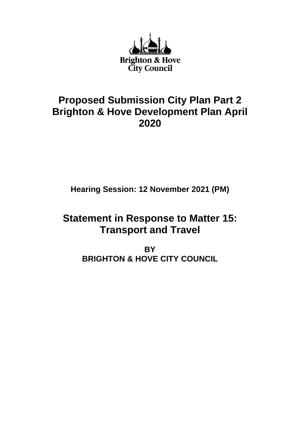

## **Proposed Submission City Plan Part 2 Brighton & Hove Development Plan April 2020**

**Hearing Session: 12 November 2021 (PM)**

# **Statement in Response to Matter 15: Transport and Travel**

**BY BRIGHTON & HOVE CITY COUNCIL**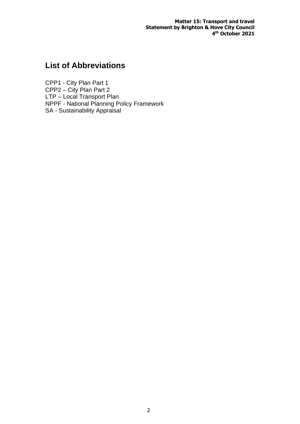**Matter 15: Transport and travel Statement by Brighton & Hove City Council 4 th October 2021**

## **List of Abbreviations**

CPP1 - City Plan Part 1 CPP2 – City Plan Part 2 LTP – Local Transport Plan NPPF - National Planning Policy Framework SA - Sustainability Appraisal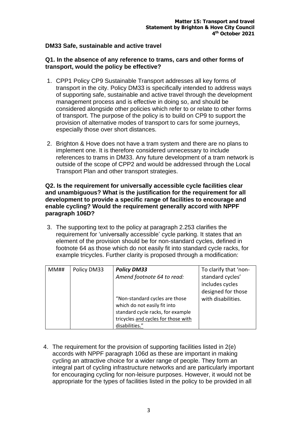## **DM33 Safe, sustainable and active travel**

## **Q1. In the absence of any reference to trams, cars and other forms of transport, would the policy be effective?**

- 1. CPP1 Policy CP9 Sustainable Transport addresses all key forms of transport in the city. Policy DM33 is specifically intended to address ways of supporting safe, sustainable and active travel through the development management process and is effective in doing so, and should be considered alongside other policies which refer to or relate to other forms of transport. The purpose of the policy is to build on CP9 to support the provision of alternative modes of transport to cars for some journeys, especially those over short distances.
- 2. Brighton & Hove does not have a tram system and there are no plans to implement one. It is therefore considered unnecessary to include references to trams in DM33. Any future development of a tram network is outside of the scope of CPP2 and would be addressed through the Local Transport Plan and other transport strategies.

## **Q2. Is the requirement for universally accessible cycle facilities clear and unambiguous? What is the justification for the requirement for all development to provide a specific range of facilities to encourage and enable cycling? Would the requirement generally accord with NPPF paragraph 106D?**

3. The supporting text to the policy at paragraph 2.253 clarifies the requirement for 'universally accessible' cycle parking. It states that an element of the provision should be for non-standard cycles, defined in footnote 64 as those which do not easily fit into standard cycle racks, for example tricycles. Further clarity is proposed through a modification:

| MM# | Policy DM33 | <b>Policy DM33</b>                  | To clarify that 'non- |
|-----|-------------|-------------------------------------|-----------------------|
|     |             | Amend footnote 64 to read:          | standard cycles'      |
|     |             |                                     | includes cycles       |
|     |             |                                     | designed for those    |
|     |             | "Non-standard cycles are those      | with disabilities.    |
|     |             | which do not easily fit into        |                       |
|     |             | standard cycle racks, for example   |                       |
|     |             | tricycles and cycles for those with |                       |
|     |             | disabilities."                      |                       |

4. The requirement for the provision of supporting facilities listed in 2(e) accords with NPPF paragraph 106d as these are important in making cycling an attractive choice for a wider range of people. They form an integral part of cycling infrastructure networks and are particularly important for encouraging cycling for non-leisure purposes. However, it would not be appropriate for the types of facilities listed in the policy to be provided in all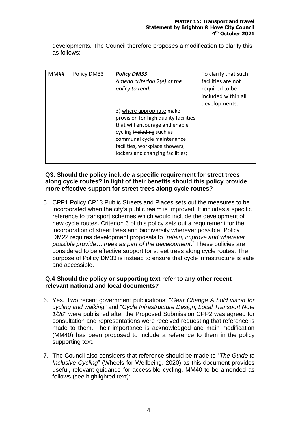developments. The Council therefore proposes a modification to clarify this as follows:

| MM## | Policy DM33 | <b>Policy DM33</b><br>Amend criterion 2(e) of the<br>policy to read:<br>3) where appropriate make<br>provision for high quality facilities                      | To clarify that such<br>facilities are not<br>required to be<br>included within all<br>developments. |
|------|-------------|-----------------------------------------------------------------------------------------------------------------------------------------------------------------|------------------------------------------------------------------------------------------------------|
|      |             | that will encourage and enable<br>cycling including such as<br>communal cycle maintenance<br>facilities, workplace showers,<br>lockers and changing facilities; |                                                                                                      |
|      |             |                                                                                                                                                                 |                                                                                                      |

## **Q3. Should the policy include a specific requirement for street trees along cycle routes? In light of their benefits should this policy provide more effective support for street trees along cycle routes?**

5. CPP1 Policy CP13 Public Streets and Places sets out the measures to be incorporated when the city's public realm is improved. It includes a specific reference to transport schemes which would include the development of new cycle routes. Criterion 6 of this policy sets out a requirement for the incorporation of street trees and biodiversity wherever possible. Policy DM22 requires development proposals to "*retain, improve and wherever possible provide… trees as part of the development*." These policies are considered to be effective support for street trees along cycle routes. The purpose of Policy DM33 is instead to ensure that cycle infrastructure is safe and accessible.

## **Q.4 Should the policy or supporting text refer to any other recent relevant national and local documents?**

- 6. Yes. Two recent government publications: "*Gear Change A bold vision for cycling and walking*" and "*Cycle Infrastructure Design, Local Transport Note 1/20*" were published after the Proposed Submission CPP2 was agreed for consultation and representations were received requesting that reference is made to them. Their importance is acknowledged and main modification (MM40) has been proposed to include a reference to them in the policy supporting text.
- 7. The Council also considers that reference should be made to "*The Guide to Inclusive Cycling*" (Wheels for Wellbeing, 2020) as this document provides useful, relevant guidance for accessible cycling. MM40 to be amended as follows (see highlighted text):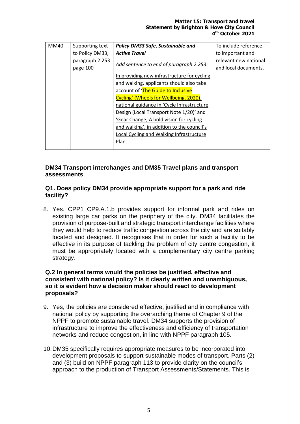#### **Matter 15: Transport and travel Statement by Brighton & Hove City Council 4 th October 2021**

| MM40 | Supporting text             | Policy DM33 Safe, Sustainable and           | To include reference                          |
|------|-----------------------------|---------------------------------------------|-----------------------------------------------|
|      | to Policy DM33,             | <b>Active Travel</b>                        | to important and                              |
|      | paragraph 2.253<br>page 100 | Add sentence to end of paragraph 2.253:     | relevant new national<br>and local documents. |
|      |                             | In providing new infrastructure for cycling |                                               |
|      |                             | and walking, applicants should also take    |                                               |
|      |                             | account of 'The Guide to Inclusive          |                                               |
|      |                             | Cycling' (Wheels for Wellbeing, 2020),      |                                               |
|      |                             | national guidance in 'Cycle Infrastructure  |                                               |
|      |                             | Design (Local Transport Note 1/20)' and     |                                               |
|      |                             | 'Gear Change; A bold vision for cycling     |                                               |
|      |                             | and walking', in addition to the council's  |                                               |
|      |                             | Local Cycling and Walking Infrastructure    |                                               |
|      |                             | Plan.                                       |                                               |
|      |                             |                                             |                                               |

## **DM34 Transport interchanges and DM35 Travel plans and transport assessments**

## **Q1. Does policy DM34 provide appropriate support for a park and ride facility?**

8. Yes. CPP1 CP9.A.1.b provides support for informal park and rides on existing large car parks on the periphery of the city. DM34 facilitates the provision of purpose-built and strategic transport interchange facilities where they would help to reduce traffic congestion across the city and are suitably located and designed. It recognises that in order for such a facility to be effective in its purpose of tackling the problem of city centre congestion, it must be appropriately located with a complementary city centre parking strategy.

## **Q.2 In general terms would the policies be justified, effective and consistent with national policy? Is it clearly written and unambiguous, so it is evident how a decision maker should react to development proposals?**

- 9. Yes, the policies are considered effective, justified and in compliance with national policy by supporting the overarching theme of Chapter 9 of the NPPF to promote sustainable travel. DM34 supports the provision of infrastructure to improve the effectiveness and efficiency of transportation networks and reduce congestion, in line with NPPF paragraph 105.
- 10.DM35 specifically requires appropriate measures to be incorporated into development proposals to support sustainable modes of transport. Parts (2) and (3) build on NPPF paragraph 113 to provide clarity on the council's approach to the production of Transport Assessments/Statements. This is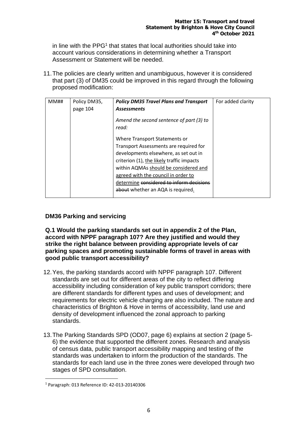in line with the PPG<sup>1</sup> that states that local authorities should take into account various considerations in determining whether a Transport Assessment or Statement will be needed.

11.The policies are clearly written and unambiguous, however it is considered that part (3) of DM35 could be improved in this regard through the following proposed modification:

| MM# | Policy DM35, | <b>Policy DM35 Travel Plans and Transport</b>     | For added clarity |
|-----|--------------|---------------------------------------------------|-------------------|
|     | page 104     | <b>Assessments</b>                                |                   |
|     |              | Amend the second sentence of part (3) to<br>read: |                   |
|     |              | Where Transport Statements or                     |                   |
|     |              | Transport Assessments are required for            |                   |
|     |              | developments elsewhere, as set out in             |                   |
|     |              | criterion (1), the likely traffic impacts         |                   |
|     |              | within AQMAs should be considered and             |                   |
|     |              | agreed with the council in order to               |                   |
|     |              | determine considered to inform decisions          |                   |
|     |              | about whether an AQA is required.                 |                   |

## **DM36 Parking and servicing**

**Q.1 Would the parking standards set out in appendix 2 of the Plan, accord with NPPF paragraph 107? Are they justified and would they strike the right balance between providing appropriate levels of car parking spaces and promoting sustainable forms of travel in areas with good public transport accessibility?** 

- 12.Yes, the parking standards accord with NPPF paragraph 107. Different standards are set out for different areas of the city to reflect differing accessibility including consideration of key public transport corridors; there are different standards for different types and uses of development; and requirements for electric vehicle charging are also included. The nature and characteristics of Brighton & Hove in terms of accessibility, land use and density of development influenced the zonal approach to parking standards.
- 13.The Parking Standards SPD (OD07, page 6) explains at section 2 (page 5- 6) the evidence that supported the different zones. Research and analysis of census data, public transport accessibility mapping and testing of the standards was undertaken to inform the production of the standards. The standards for each land use in the three zones were developed through two stages of SPD consultation.

<sup>1</sup> Paragraph: 013 Reference ID: 42-013-20140306